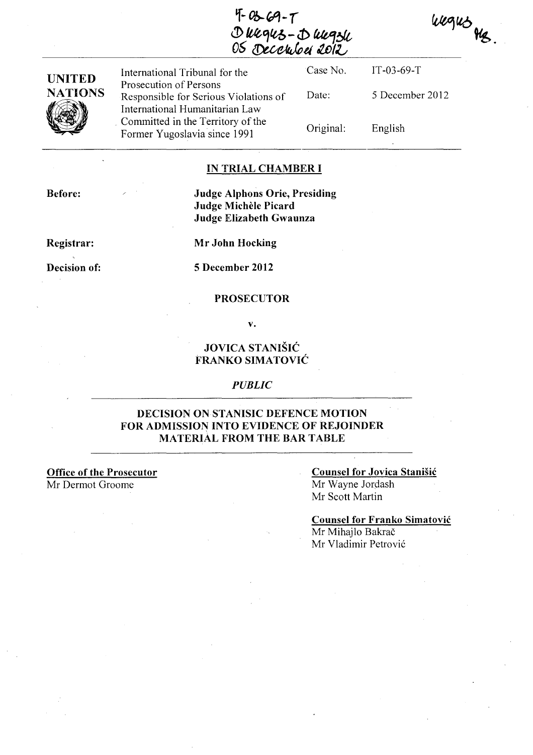$4 - 03 - 69 - 7$ Dueques-Dueque



**UNITED NATIONS**  International Tribunal for the Prosecution of Persons Responsible for Serious Violations of International Humanitarian Law Committed in the Territory of the Former Yugoslavia since 1991 Case No. Date: Original: IT-03-69-T 5 December 2012 English

#### **IN TRIAL CHAMBER I**

**Before:** 

**Judge Alphons Orie, Presiding Judge Michele Picard Judge Elizabeth Gwaunza** 

**Decision of:** 

**Mr John Hocking** 

**5 December 2012** 

#### **PROSECUTOR**

**v.** 

# **JOVICA STANISIC FRANKO SIMATOVIC**

#### *PUBLIC*

## **DECISION ONSTANISIC DEFENCE MOTION FOR ADMISSION INTO EVIDENCE OF REJOINDER MATERIAL FROM THE BAR TABLE**

**Office of the Prosecutor**  Mr Dermot Groome

## **Counsel for Jovica Stanisic**  Mr Wayne Jordash Mr Scott Martin

**Counsel for Franko Simatovic**  Mr Mihajlo Bakrač Mr Vladimir Petrovic

**Registrar:**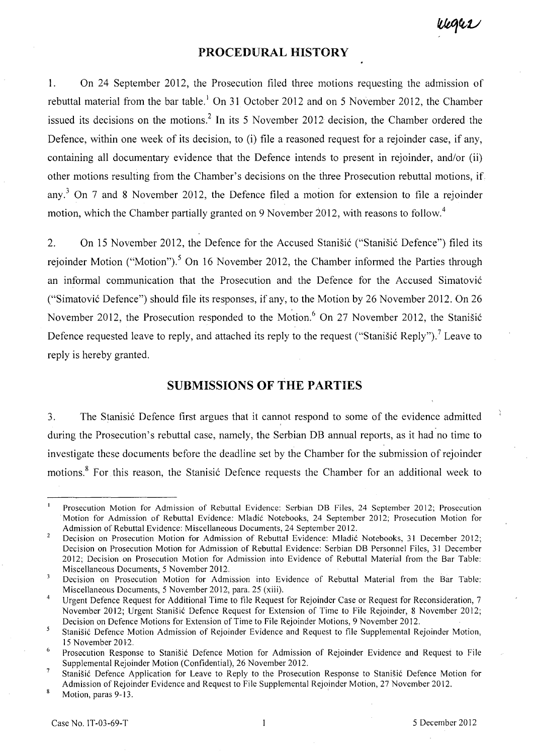Wegas

## **PROCEDURAL HISTORY**

1. On 24 September 2012, the Prosecution filed three motions requesting the admission of rebuttal material from the bar table.<sup>1</sup> On 31 October 2012 and on 5 November 2012, the Chamber issued its decisions on the motions.2 **In** its 5 November 2012 decision, the Chamber ordered the Defence, within one week of its decision, to (i) file a reasoned request for a rejoinder case, if any, containing all documentary evidence that the Defence intends to present in rejoinder, and/or (ii) other motions resulting from the Chamber's decisions on the three Prosecution rebuttal motions, if any.<sup>3</sup> On 7 and 8 November 2012, the Defence filed a motion for extension to file a rejoinder motion, which the Chamber partially granted on 9 November 2012, with reasons to follow.<sup>4</sup>

2. On 15 November 2012, the Defence for the Accused Stanisić ("Stanisić Defence") filed its rejoinder Motion ("Motion").<sup>5</sup> On 16 November 2012, the Chamber informed the Parties through an informal communication that the Prosecution and the Defence for the Accused Simatovi6 ("Simatovi6 Defence") should file its responses, if any, to the Motion by 26 November 2012. On 26 November 2012, the Prosecution responded to the Motion.<sup>6</sup> On 27 November 2012, the Stanisic Defence requested leave to reply, and attached its reply to the request ("Stanisic Reply").<sup>7</sup> Leave to reply is hereby granted.

# **SUBMISSIONS OF THE PARTIES**

3. The Stanisic Defence first argues that it cannot respond to some of the evidence admitted during the Prosecution's rebuttal case, namely, the Serbian DB annual reports, as it had no time to investigate these documents before the deadline set by the Chamber for the submission of rejoinder motions.<sup>8</sup> For this reason, the Stanisić Defence requests the Chamber for an additional week to

Motion, paras 9-13.

Prosecution Motion for Admission of Rebuttal Evidence: Serbian DB Files, 24 September 2012; Prosecution Motion for Admission of Rebuttal Evidence: Mladic Notebooks, 24 September 2012; Prosecution Motion for Admission of Rebuttal Evidence: Miscellaneous Documents, 24 September 2012.

 $\overline{2}$ Decision on Prosecution Motion for Admission of Rebuttal Evidence: Mladic Notebooks, 31 December 2012; Decision on Prosecution Motion for Admission of Rebuttal Evidence: Serbian DB Personnel Files, 31 December 2012; Decision on Prosecution Motion for Admission into Evidence of Rebuttal Material from the Bar Table: Miscellaneous Documents, 5 November 2012.

Decision on Prosecution Motion for Admission into Evidence of Rebuttal Material from the Bar Table: Miscellaneous Documents, 5 November 2012, para. 25 (xiii).

Urgent Defence Request for Additional Time to file Request for Rejoinder Case or Request for Reconsideration, 7 November 2012; Urgent Stanisic Defence Request for Extension of Time to File Rejoinder, 8 November 2012; Decision on Defence Motions for Extension of Time to File Rejoinder Motions, 9 November 2012.

 $\overline{\mathbf{5}}$ Stanisic Defence Motion Admission of Rejoinder Evidence and Request to file Supplemental Rejoinder Motion, 15 November 20l2.

<sup>6</sup>  Prosecution Response to Stanisic Defence Motion for Admission of Rejoinder Evidence and Request to File Supplemental Rejoinder Motion (Confidential), 26 November 2012.

 $\overline{7}$ Stanisic Defence Application for Leave to Reply to the Prosecution Response to Stanisic Defence Motion for Admission of Rejoinder Evidence and Request to File Supplemental Rejoinder Motion, 27 November 2012.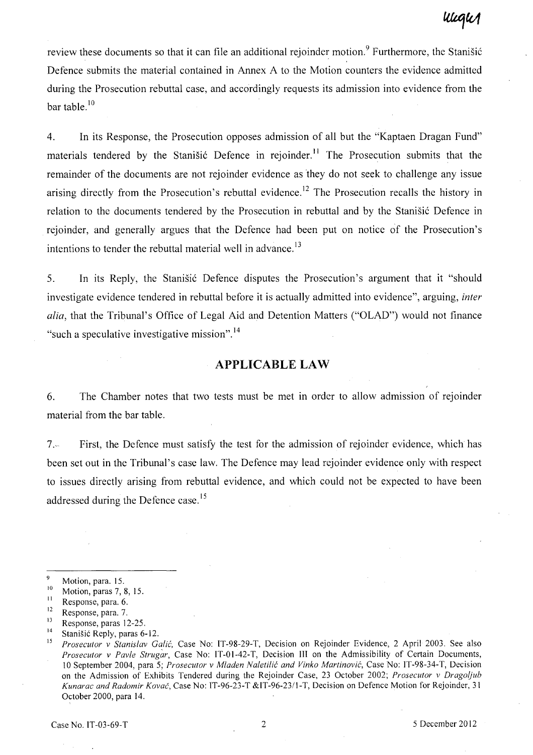review these documents so that it can file an additional rejoinder motion.<sup>9</sup> Furthermore, the Stanišić Defence submits the material contained in Annex A to the Motion counters the evidence admitted during the Prosecution rebuttal case, and accordingly requests its admission into evidence from the bar table. $10$ 

4. In its Response, the Prosecution opposes admission of all but the "Kaptaen Dragan Fund" materials tendered by the Stanišić Defence in rejoinder.<sup>11</sup> The Prosecution submits that the remainder of the documents are not rejoinder evidence as they do not seek to challenge any issue arising directly from the Prosecution's rebuttal evidence.<sup>12</sup> The Prosecution recalls the history in relation to the documents tendered by the Prosecution in rebuttal and by the Stanišić Defence in rejoinder, and generally argues that the Defence had been put on notice of the Prosecution's intentions to tender the rebuttal material well in advance.<sup>13</sup>

5. In its Reply, the Stanisic Defence disputes the Prosecution's argument that it "should" investigate evidence tendered in rebuttal before it is actually admitted into evidence", arguing, *inter alia,* that the Tribunal's Office of Legal Aid and Detention Matters ("OLAD") would not finance "such a speculative investigative mission".<sup>14</sup>

# **APPLICABLE LAW**

6. The Chamber notes that two tests must be met in order to allow admission of rejoinder material from the bar table.

7.~ First, the Defence must satisfy the test for the admission of rejoinder evidence, which has been set out in the Tribunal's case law. The Defence may lead rejoinder evidence only with respect to issues directly arising from rebuttal evidence, and which could not be expected to have been addressed during the Defence case.<sup>15</sup>

Case No. 1T-03-69-T 2 2 5 December 2012

 $\frac{9}{10}$  Motion, para. 15.

 $\frac{10}{11}$  Motion, paras 7, 8, 15.

 $\frac{11}{12}$  Response, para. 6.

 $12$  Response, para. 7.

 $13$  Response, paras 12-25.

<sup>&</sup>lt;sup>14</sup> Stanišić Reply, paras 6-12.

<sup>15</sup>*Prosecutor* v *Stanislav Calic,* Case No: IT-98-29-T, Decision on Rejoinder Evidence, 2 April 2003. See also *Prosecutor v Pavle Strugar*, Case No: IT-01-42-T, Decision III on the Admissibility of Certain Documents, 10 September 2004, para 5; *Prosecutor* v *Mladen Naletilic and Vinko Martinovic,* Case No: IT -98-34-T, Decision on the Admission of Exhibits Tendered during the Rejoinder Case, 23 October 2002; *Prosecutor* v *Dragoljub Kunarac and Radomir Kovac,* Case No: IT-96-23-T *&IT-96-2311-*T, Decision on Defence Motion for Rejoinder, 31 October 2000, para 14.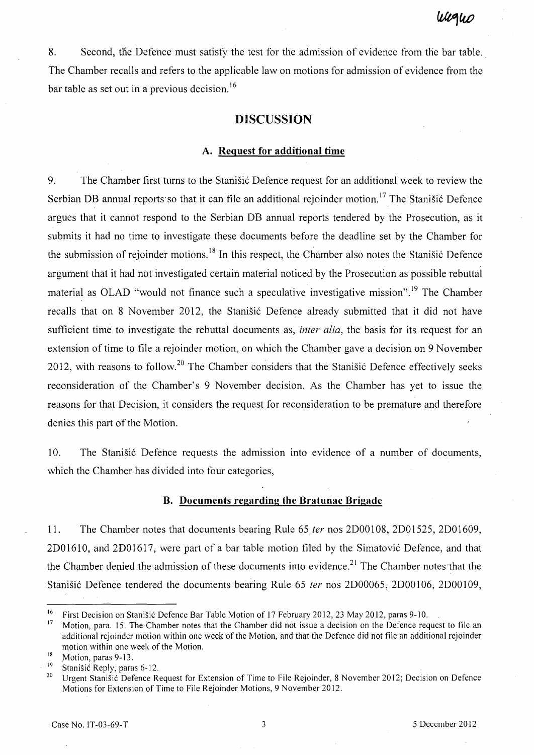8. Second, the Defence must satisfy the test for the admission of evidence from the bar table. The Chamber recalls and refers to the applicable law on motions for admission of evidence from the bar table as set out in a previous decision. <sup>16</sup>

## **DISCUSSION**

#### **A. Request for additional time**

9. The Chamber first turns to the Stanišić Defence request for an additional week to review the Serbian DB annual reports so that it can file an additional rejoinder motion.<sup>17</sup> The Stanisić Defence argues that it cannot respond to the Serbian DB annual reports tendered by the Prosecution, as it submits it had no time to investigate these documents before the deadline set by the Chamber for the submission of rejoinder motions.<sup>18</sup> In this respect, the Chamber also notes the Stanisic Defence argument that it had not investigated certain material noticed by the Prosecution as possible rebuttal material as OLAD "would not finance such a speculative investigative mission".<sup>19</sup> The Chamber recalls that on 8 November 2012, the Stanišić Defence already submitted that it did not have sufficient time to investigate the rebuttal documents as, *inter alia*, the basis for its request for an extension of time to file a rejoinder motion, on which the Chamber gave a decision on 9 November 2012, with reasons to follow.<sup>20</sup> The Chamber considers that the Stanistic Defence effectively seeks reconsideration of the Chamber's 9 November decision. As the Chamber has yet to issue the reasons for that Decision, it considers the request for reconsideration to be premature and therefore denies this part of the Motion.

10. The Stanisić Defence requests the admission into evidence of a number of documents, which the Chamber has divided into four categories,

# **B. Documents regarding the Bratunac Brigade**

11. The Chamber notes that documents bearing Rule 65 ter nos 2D00108, 2D01525, 2D01609, 2D01610, and 2D01617, were part of a bar table motion filed by the Simatović Defence, and that the Chamber denied the admission of these documents into evidence.<sup>21</sup> The Chamber notes that the Stanišić Defence tendered the documents bearing Rule 65 ter nos 2D00065, 2D00106, 2D00109,

<sup>&</sup>lt;sup>16</sup> First Decision on Stanišić Defence Bar Table Motion of 17 February 2012, 23 May 2012, paras 9-10.<br><sup>17</sup> Motion, para, 15. The Chamber potes that the Chamber did not issue a decision on the Defence requ

Motion, para. 15. The Chamber notes that the Chamber did not issue a decision on the Defence request to file an additional rejoinder motion within one week of the Motion, and that the Defence did not file an additional rejoinder motion within one week of the Motion.

 $\frac{18}{19}$  Motion, paras 9-13.

<sup>&</sup>lt;sup>19</sup> Stanišić Reply, paras 6-12.<br><sup>20</sup> Llroent Stanišić Defence Re

<sup>20</sup> Urgent Stanisic Defence Request for Extension of Time to File Rejoinder, 8 November 2012; Decision on Defence Motions for Extension of Time to File Rejoinder Motions, 9 November 2012.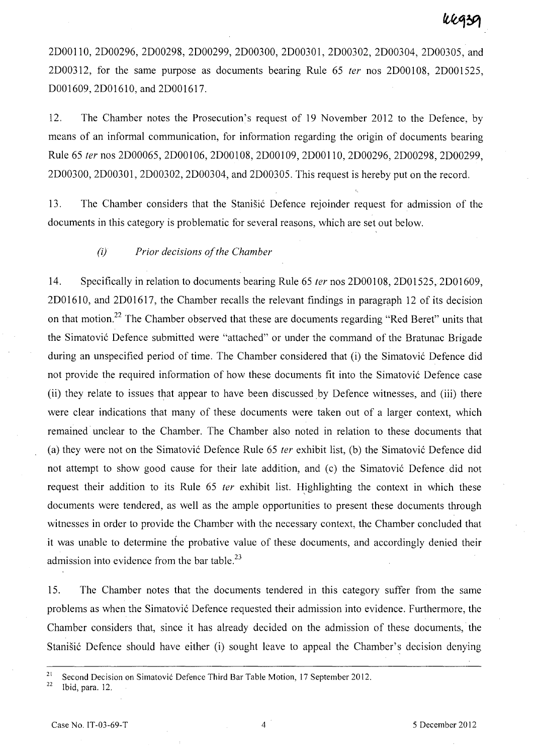2D00110, 2D00296, 2D00298, 2D00299, 2D00300, 2D00301, 2D00302, 2D00304, 2D00305, and 2D00312, for the same purpose as documents bearing Rule 65 fer nos 2D00108, 2D001525, D001609, 2D01610, and 2D001617.

12. The Chamber notes the Prosecution's request of 19 November 2012 to the Defence, by means of an informal communication, for information regarding the origin of documents bearing Rule 65 fer nos 2D00065, 2D00106, 2D00108, 2D00109, 2D00110, 2D00296, 2D00298, 2D00299, 2D00300, 2D00301, 2D00302, 2D00304, and 2D00305. This request is hereby put on the record.

13. The Chamber considers that the Stanistic Defence rejoinder request for admission of the documents in this category is problematic for several reasons, which are set out below.

#### (i) Prior decisions of the Chamber

14. Specifically in relation to documents bearing Rule 65 fer nos 2D00108, 2D01525, 2D01609, 2D01610, and 2D01617, the Chamber recalls the relevant findings in paragraph 12 of its decision on that motion.<sup>22</sup> The Chamber observed that these are documents regarding "Red Beret" units that the Simatović Defence submitted were "attached" or under the command of the Bratunac Brigade during an unspecified period of time. The Chamber considered that (i) the Simatović Defence did not provide the required information of how these documents fit into the Simatović Defence case (ii) they relate to issues that appear to have been discussed by Defence witnesses, and (iii) there were clear indications that many of these documents were taken out of a larger context, which remained unclear to the Chamber. The Chamber also noted in relation to these documents that (a) they were not on the Simatović Defence Rule  $65$  *ter* exhibit list, (b) the Simatović Defence did not attempt to show good cause for their late addition, and (c) the Simatović Defence did not request their addition to its Rule 65 *ter* exhibit list. Highlighting the context in which these documents were tendered, as well as the ample opportunities to present these documents through witnesses in order to provide the Chamber with the necessary context, the Chamber concluded that it was unable to determine the probative value of these documents, and accordingly denied their admission into evidence from the bar table. $^{23}$ 

15. The Chamber notes that the documents tendered in this category suffer from the same problems as when the Simatović Defence requested their admission into evidence. Furthermore, the Chamber considers that, since it has already decided on the admission of these documents, the Stanišić Defence should have either (i) sought leave to appeal the Chamber's decision denying

Ibid, para. 12.

<sup>&</sup>lt;sup>21</sup> Second Decision on Simatovic Defence Third Bar Table Motion, 17 September 2012.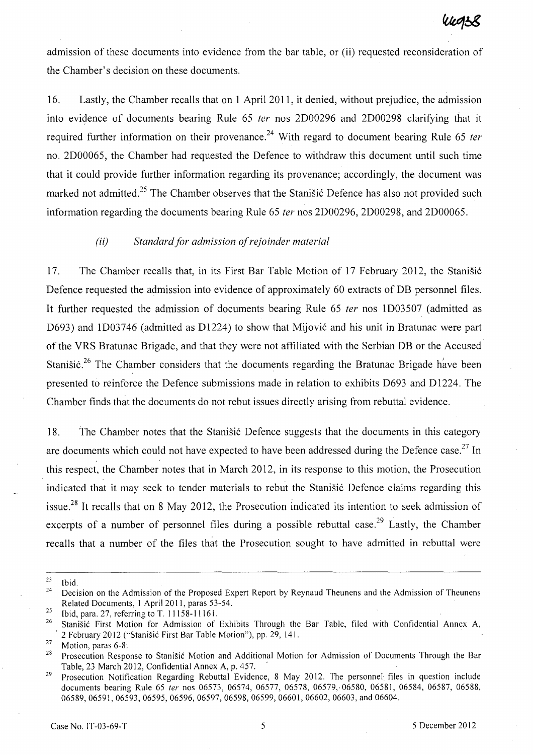admission of these documents into evidence from the bar table, or (ii) requested reconsideration of the Chamber's decision on these documents.

16. Lastly, the Chamber recalls that on 1 April **2011,** it denied, without prejudice, the admission into evidence of documents bearing Rule 65 fer nos 2D00296 and 2D00298 clarifying that it required further information on their provenance.<sup>24</sup> With regard to document bearing Rule 65 *ter* no. 2D00065, the Chamber had requested the Defence to withdraw this document until such time that it could provide further information regarding its provenance; accordingly, the document was marked not admitted.<sup>25</sup> The Chamber observes that the Stanišić Defence has also not provided such information regarding the documents bearing Rule 65 *ter* nos 2D00296, 2D00298, and 2D00065.

# (ii) Standard for admission of rejoinder material

17. The Chamber recalls that, in its First Bar Table Motion of 17 February 2012, the Stanisic Defence requested the admission into evidence of approximately 60 extracts of DB personnel files. It further requested the admission of documents bearing Rule 65 *ter* nos ID03507 (admitted as D693) and 1D03746 (admitted as D1224) to show that Mijović and his unit in Bratunac were part of the VRS Bratunac Brigade, and that they were not affiliated with the Serbian DB or the Accused Stanišić.<sup>26</sup> The Chamber considers that the documents regarding the Bratunac Brigade have been presented to reinforce the Defence submissions made in relation to exhibits D693 and D1224. The Chamber finds that the documents do not rebut issues directly arising from rebuttal evidence.

18. The Chamber notes that the Stanisic Defence suggests that the documents in this category are documents which could not have expected to have been addressed during the Defence case.27 **In**  this respect, the Chamber notes that in March 2012, in its response to this motion, the Prosecution indicated that it may seek to tender materials to rebut the Stanisic Defence claims regarding this issue.<sup>28</sup> It recalls that on 8 May 2012, the Prosecution indicated its intention to seek admission of excerpts of a number of personnel files during a possible rebuttal case.<sup>29</sup> Lastly, the Chamber recalls that a number of the files that the Prosecution sought to have admitted in rebuttal were

 $23$  Ibid.

<sup>&</sup>lt;sup>24</sup> Decision on the Admission of the Proposed Expert Report by Reynaud Theunens and the Admission of Theunens Related Documents, I April 2011, paras 53-54.

<sup>&</sup>lt;sup>25</sup> Ibid, para. 27, referring to T. 11158-11161.<br><sup>26</sup> Stanišiá First Mation for Admission of

Stanišić First Motion for Admission of Exhibits Through the Bar Table, filed with Confidential Annex A, , 2 February 2012 ("Stanisic First Bar Table Motion"), pp. 29, 141.

 $\frac{27}{28}$  Motion, paras 6-8:

Prosecution Response to Stanišić Motion and Additional Motion for Admission of Documents Through the Bar Table, 23 March 2012, Confidential Annex A, p. 457. .

<sup>&</sup>lt;sup>29</sup> Prosecution Notification Regarding Rebuttal Evidence, 8 May 2012. The personnel files in question include documents bearing Rule 65 ter nos 06573, 06574, 06577, 06578, 06579, 06580, 06581, 06584, 06587, 06588, 06589, 06591, 06593, 06595, 06596, 06597, 06598, 06599, 06601, 06602, 06603, and 06604.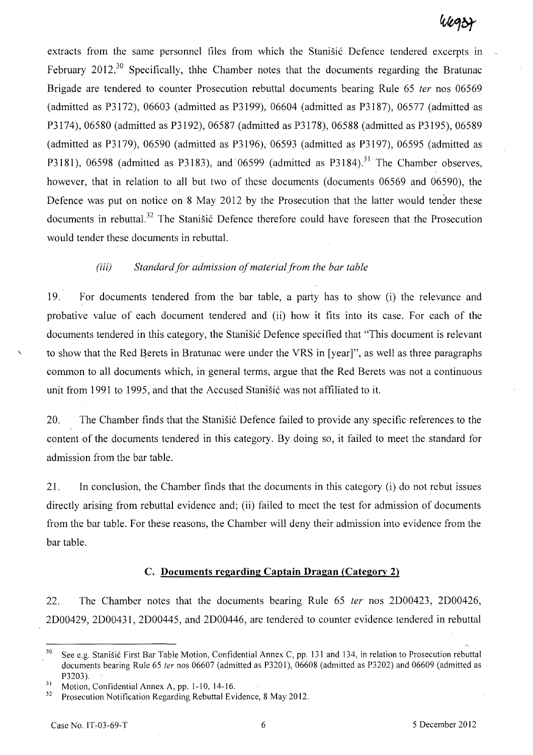Wegzy

extracts from the same personnel files from which the Stanišić Defence tendered excerpts in February 2012.<sup>30</sup> Specifically, thhe Chamber notes that the documents regarding the Bratunac Brigade are tendered to counter Prosecution rebuttal documents bearing Rule 65 *ter* nos 06569 (admitted as P3172), 06603 (admitted as P3199), 06604 (admitted as P3187), 06577 (admitted -as P3174), 06580 (admitted as P3192), 06587 (admitted as P3178), 06588 (admitted as P3195), 06589 (admitted as P3179), 06590 (admitted as P3196), 06593 (admitted as P3197), 06595 (admitted as P3181), 06598 (admitted as P3183), and 06599 (admitted as P3184).<sup>31</sup> The Chamber observes, however, that in relation to all but two of these documents (documents 06569 and 06590), the Defence was put on notice on 8 May 2012 by the Prosecution that the latter would tender these documents in rebuttal.<sup>32</sup> The Stanišić Defence therefore could have foreseen that the Prosecution would tender these documents in rebuttal.

# (iii) Standard for admission of material from the bar table

19. For documents tendered from the bar table, a party has to show (i) the relevance and probative value of each document tendered and (ii) how it fits into its case. For each of the documents tendered in this category, the Stanisić Defence specified that "This document is relevant to show that the Red Berets in Bratunac were under the VRS in [year]", as well as three paragraphs common to all documents which, in general terms, argue that the Red Berets was not a continuous unit from 1991 to 1995, and that the Accused Stanišić was not affiliated to it.

20. The Chamber finds that the Stanišić Defence failed to provide any specific references to the content of the documents tendered in this category. By doing so, it failed to meet the standard for admission from the bar table.

21. In conclusion, the Chamber finds that the documents in this category (i) do not rebut issues directly arising from rebuttal evidence and; (ii) failed to meet the test for admission of documents from the bar table. For these reasons, the Chamber will deny their admission into evidence from the bar table.

#### C. **Documents regarding Captain Dragan (Category 2)**

22. The Chamber notes that the docliments bearing Rule 65 *ter* nos 2D00423, 2D00426, 2D00429, 2D00431, 2D00445, and 2D00446, are tendered to counter evidence tendered in rebuttal

 $30$  See e.g. Stanišić First Bar Table Motion, Confidential Annex C, pp. 131 and 134, in relation to Prosecution rebuttal documents bearing Rule 65 ter nos 06607 (admitted as P3201), 06608 (admitted as P3202) and 06609 (admitted as P3203).

 $31$  Motion, Confidential Annex A, pp. 1-10, 14-16.<br> $32$  Prosecution Notification Regarding Rebuttal Evi-

<sup>32</sup> Prosecution Notification Regarding Rebuttal Evidence, 8 May 2012.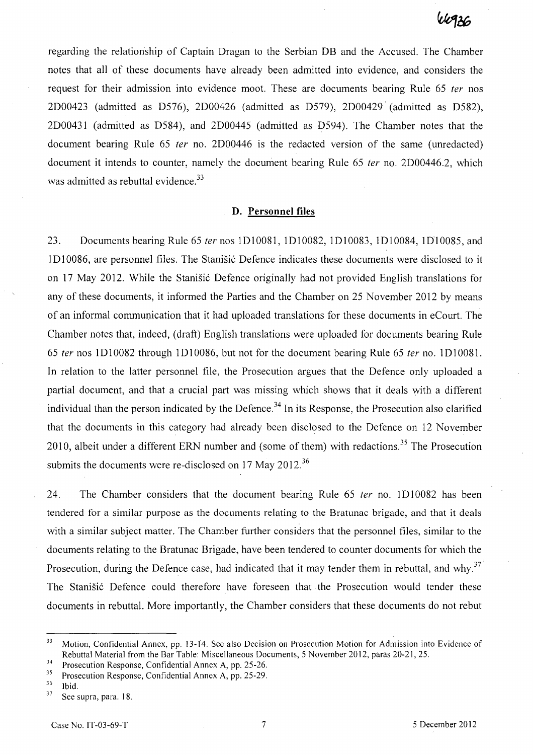WAX

regarding the relationship of Captain Dragan to the Serbian DB and the Accused. The Chamber notes that all of these documents have already been admitted into evidence, and considers the request for their admission into evidence moot. These are documents bearing Rule 65 *ter* nos 2D00423 (admitted as D576), 2D00426 (admitted as D579), 2D00429· (admitted as D582), 2D00431 (admitted as D584), and 2D00445 (admitted as D594). The Chamber notes that the document bearing Rule  $65$  *ter* no. 2D00446 is the redacted version of the same (unredacted) document it intends to counter, namely the document bearing Rule 65 *ter* no. 2D00446.2, which was admitted as rebuttal evidence.<sup>33</sup>

#### **D. Personnel files**

23. Documents bearing Rule 65 *ter* nos 1D10081, 1D10082, 1D10083, 1D10084, 1D10085, and 1 D 10086, are personnel files. The Stanisić Defence indicates these documents were disclosed to it on 17 May 2012. While the Stanišić Defence originally had not provided English translations for any of these documents, it informed the Parties and the Chamber on 25 November 2012 by means of an informal communication that it had uploaded translations for these documents in eCourt. The Chamber notes that, indeed, (draft) English translations were uploaded for documents bearing Rule *65* fer nos 1 D 10082 through 1 D 10086, but not for the document bearing Rule 65 fer no. 1 D 10081. In relation to the latter personnel file, the Prosecution argues that the Defence only uploaded a partial document, and that a crucial part was missing which shows that it deals with a different individual than the person indicated by the Defence.<sup>34</sup> In its Response, the Prosecution also clarified that the documents in this category had already been disclosed to the Defence on 12 November 2010, albeit under a different ERN number and (some of them) with redactions.<sup>35</sup> The Prosecution submits the documents were re-disclosed on 17 May 2012.<sup>36</sup>

24. The Chamber considers that the document bearing Rule 65 *ter* no. 1D10082 has been tendered for a similar purpose as the documents relating to the Bratunac brigade, and that it deals with a similar subject matter. The Chamber further considers that the personnel files, similar to the documents relating to the Bratunac Brigade, have been tendered to counter documents for which the Prosecution, during the Defence case, had indicated that it may tender them in rebuttal, and why.<sup>37</sup> The Stanisic Defence could therefore have foreseen that the Prosecution would tender these documents in rebuttal. More importantly, the Chamber considers that these documents do not rebut

<sup>&</sup>lt;sup>33</sup> Motion, Confidential Annex, pp. 13-14. See also Decision on Prosecution Motion for Admission into Evidence of Rebuttal Material from the Bar Table: Miscellaneous Documents, 5 November 2012, paras 20-21,25.

<sup>&</sup>lt;sup>34</sup> Prosecution Response, Confidential Annex A, pp. 25-26.<br><sup>35</sup> Prosecution Response, Confidential Annex A, pp. 25.20.

 $\frac{35}{36}$  Prosecution Response, Confidential Annex A, pp. 25-29.

 $rac{35}{37}$  Ibid.

See supra, para. 18.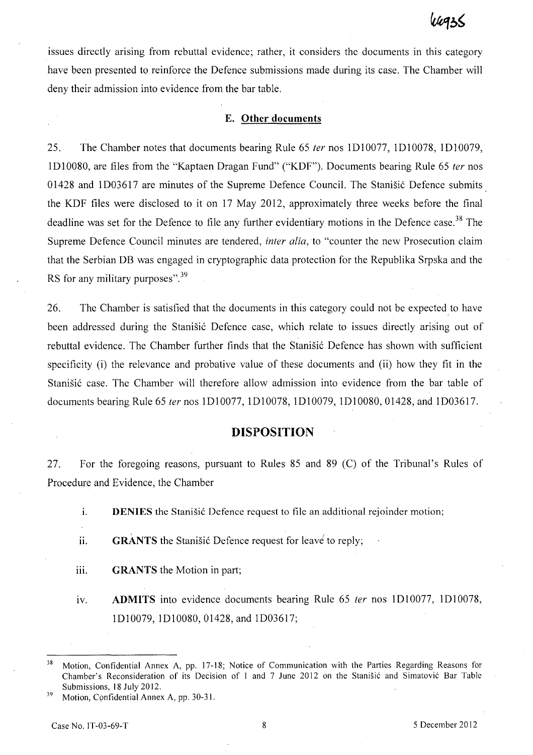issues directly arising from rebuttal evidence; rather, it considers the documents in this category have been presented to reinforce the Defence submissions made during its case. The Chamber will deny their admission into evidence from the bar table.

#### E. **Other documents**

25. The Chamber notes that documents bearing Rule 65 *ter* nos 1D10077, 1D10078, 1D10079, 1 D 1 0080, are files from the "Kaptaen Dragan Fund" ("KDF"). Documents bearing Rule 65 *ter* nos 01428 and 1D03617 are minutes of the Supreme Defence Council. The Stanisic Defence submits the KDF files were disclosed to it on 17 May 2012, approximately three weeks before the final deadline was set for the Defence to file any further evidentiary motions in the Defence case.<sup>38</sup> The Supreme Defence Council minutes are tendered, *inter alia,* to "counter the new Prosecution claim that the Serbian DB was engaged in cryptographic data protection for the Republika Srpska and the RS for any military purposes".<sup>39</sup>

26. The Chamber is satisfied that the documents in this category could not be expected to have been addressed during the Stanisic Defence case, which relate to issues directly arising out of rebuttal evidence. The Chamber further finds that the Stanišić Defence has shown with sufficient specificity (i) the relevance and probative value of these documents and (ii) how they fit in the Stanišić case. The Chamber will therefore allow admission into evidence from the bar table of documents bearing Rule 65 *ter* nos IDI0077, IDI0078, IDI0079, IDI0080, 01428, and ID03617.

## **DISPOSITION**

27. For the foregoing reasons, pursuant to Rules 85 and 89 (C) of the Tribunal's Rules of Procedure and Evidence, the Chamber

- 1. **DENIES** the Stanisic Defence request to file an additional rejoinder motion;
- $\mathbf{i}$ . **GRANTS** the Stanisic Defence request for leave to reply;
- iii. **GRANTS** the Motion in part;
- IV. **ADMITS** into evidence documents bearing Rule 65 *ter* nos IDI0077, IDI0078, IDI0079, IDI0080, 01428, and ID03617;

<sup>&</sup>lt;sup>38</sup> Motion, Confidential Annex A, pp. 17-18; Notice of Communication with the Parties Regarding Reasons for Chamber's Reconsideration of its Decision of I and 7 June 2012 on the Stanisic and Simatovic Bar Table Submissions, 18 July 2012.

<sup>&</sup>lt;sup>39</sup> Motion, Confidential Annex A, pp. 30-31.